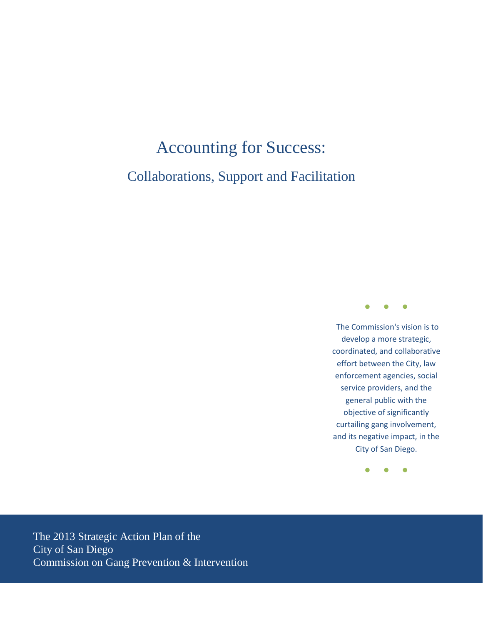# Accounting for Success: Collaborations, Support and Facilitation



The Commission's vision is to develop a more strategic, coordinated, and collaborative effort between the City, law enforcement agencies, social service providers, and the general public with the objective of significantly curtailing gang involvement, and its negative impact, in the City of San Diego.

● ● ●

<span id="page-0-0"></span>The 2013 Strategic Action Plan of the City of San Diego Commission on Gang Prevention & Intervention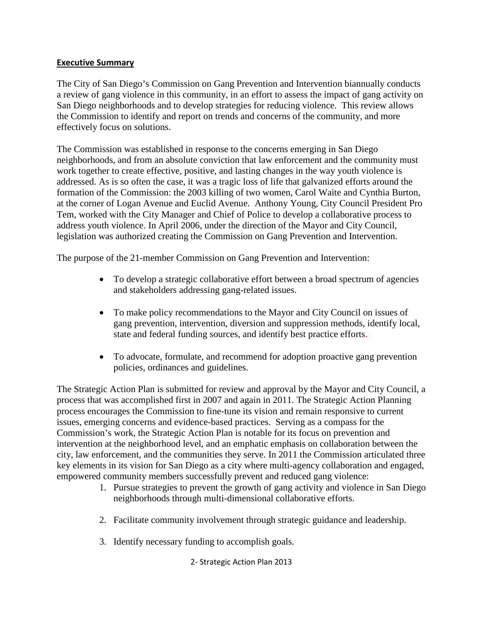#### **Executive Summary**

The City of San Diego's Commission on Gang Prevention and Intervention biannually conducts a review of gang violence in this community, in an effort to assess the impact of gang activity on San Diego neighborhoods and to develop strategies for reducing violence. This review allows the Commission to identify and report on trends and concerns of the community, and more effectively focus on solutions.

The Commission was established in response to the concerns emerging in San Diego neighborhoods, and from an absolute conviction that law enforcement and the community must work together to create effective, positive, and lasting changes in the way youth violence is addressed. As is so often the case, it was a tragic loss of life that galvanized efforts around the formation of the Commission: the 2003 killing of two women, Carol Waite and Cynthia Burton, at the corner of Logan Avenue and Euclid Avenue. Anthony Young, City Council President Pro Tem, worked with the City Manager and Chief of Police to develop a collaborative process to address youth violence. In April 2006, under the direction of the Mayor and City Council, legislation was authorized creating the Commission on Gang Prevention and Intervention.

The purpose of the 21-member Commission on Gang Prevention and Intervention:

- To develop a strategic collaborative effort between a broad spectrum of agencies and stakeholders addressing gang-related issues.
- To make policy recommendations to the Mayor and City Council on issues of gang prevention, intervention, diversion and suppression methods, identify local, state and federal funding sources, and identify best practice efforts.
- To advocate, formulate, and recommend for adoption proactive gang prevention policies, ordinances and guidelines.

The Strategic Action Plan is submitted for review and approval by the Mayor and City Council, a process that was accomplished first in 2007 and again in 2011. The Strategic Action Planning process encourages the Commission to fine-tune its vision and remain responsive to current issues, emerging concerns and evidence-based practices. Serving as a compass for the Commission's work, the Strategic Action Plan is notable for its focus on prevention and intervention at the neighborhood level, and an emphatic emphasis on collaboration between the city, law enforcement, and the communities they serve. In 2011 the Commission articulated three key elements in its vision for San Diego as a city where multi-agency collaboration and engaged, empowered community members successfully prevent and reduced gang violence:

- 1. Pursue strategies to prevent the growth of gang activity and violence in San Diego neighborhoods through multi-dimensional collaborative efforts.
- 2. Facilitate community involvement through strategic guidance and leadership.
- 3. Identify necessary funding to accomplish goals.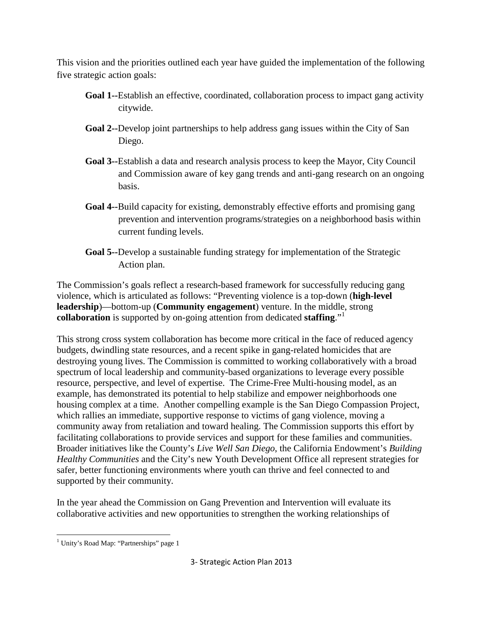This vision and the priorities outlined each year have guided the implementation of the following five strategic action goals:

- **Goal 1--**Establish an effective, coordinated, collaboration process to impact gang activity citywide.
- **Goal 2--**Develop joint partnerships to help address gang issues within the City of San Diego.
- **Goal 3--**Establish a data and research analysis process to keep the Mayor, City Council and Commission aware of key gang trends and anti-gang research on an ongoing basis.
- **Goal 4--**Build capacity for existing, demonstrably effective efforts and promising gang prevention and intervention programs/strategies on a neighborhood basis within current funding levels.
- **Goal 5--**Develop a sustainable funding strategy for implementation of the Strategic Action plan.

The Commission's goals reflect a research-based framework for successfully reducing gang violence, which is articulated as follows: "Preventing violence is a top-down (**high-level leadership**)—bottom-up (**Community engagement**) venture. In the middle, strong **collaboration** is supported by on-going attention from dedicated **staffing**."[1](#page-0-0)

This strong cross system collaboration has become more critical in the face of reduced agency budgets, dwindling state resources, and a recent spike in gang-related homicides that are destroying young lives. The Commission is committed to working collaboratively with a broad spectrum of local leadership and community-based organizations to leverage every possible resource, perspective, and level of expertise. The Crime-Free Multi-housing model, as an example, has demonstrated its potential to help stabilize and empower neighborhoods one housing complex at a time. Another compelling example is the San Diego Compassion Project, which rallies an immediate, supportive response to victims of gang violence, moving a community away from retaliation and toward healing. The Commission supports this effort by facilitating collaborations to provide services and support for these families and communities. Broader initiatives like the County's *Live Well San Diego*, the California Endowment's *Building Healthy Communities* and the City's new Youth Development Office all represent strategies for safer, better functioning environments where youth can thrive and feel connected to and supported by their community.

In the year ahead the Commission on Gang Prevention and Intervention will evaluate its collaborative activities and new opportunities to strengthen the working relationships of

<span id="page-2-0"></span> $\overline{\phantom{0}}$ 

<sup>&</sup>lt;sup>1</sup> Unity's Road Map: "Partnerships" page 1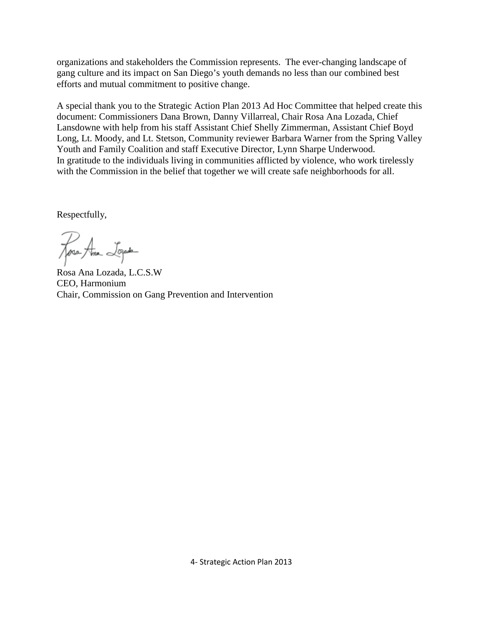organizations and stakeholders the Commission represents. The ever-changing landscape of gang culture and its impact on San Diego's youth demands no less than our combined best efforts and mutual commitment to positive change.

A special thank you to the Strategic Action Plan 2013 Ad Hoc Committee that helped create this document: Commissioners Dana Brown, Danny Villarreal, Chair Rosa Ana Lozada, Chief Lansdowne with help from his staff Assistant Chief Shelly Zimmerman, Assistant Chief Boyd Long, Lt. Moody, and Lt. Stetson, Community reviewer Barbara Warner from the Spring Valley Youth and Family Coalition and staff Executive Director, Lynn Sharpe Underwood. In gratitude to the individuals living in communities afflicted by violence, who work tirelessly with the Commission in the belief that together we will create safe neighborhoods for all.

Respectfully,

Rosa Ana Logada

Rosa Ana Lozada, L.C.S.W CEO, Harmonium Chair, Commission on Gang Prevention and Intervention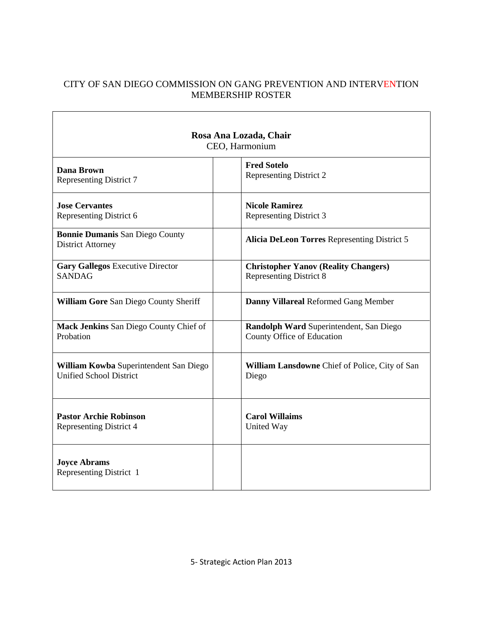# CITY OF SAN DIEGO COMMISSION ON GANG PREVENTION AND INTERVENTION MEMBERSHIP ROSTER

Ť

| Rosa Ana Lozada, Chair<br>CEO, Harmonium                           |                                                |  |  |  |
|--------------------------------------------------------------------|------------------------------------------------|--|--|--|
| <b>Dana Brown</b>                                                  | <b>Fred Sotelo</b>                             |  |  |  |
| <b>Representing District 7</b>                                     | Representing District 2                        |  |  |  |
| <b>Jose Cervantes</b>                                              | <b>Nicole Ramirez</b>                          |  |  |  |
| Representing District 6                                            | Representing District 3                        |  |  |  |
| <b>Bonnie Dumanis San Diego County</b><br><b>District Attorney</b> | Alicia DeLeon Torres Representing District 5   |  |  |  |
| <b>Gary Gallegos Executive Director</b>                            | <b>Christopher Yanov (Reality Changers)</b>    |  |  |  |
| <b>SANDAG</b>                                                      | <b>Representing District 8</b>                 |  |  |  |
| <b>William Gore San Diego County Sheriff</b>                       | Danny Villareal Reformed Gang Member           |  |  |  |
| Mack Jenkins San Diego County Chief of                             | Randolph Ward Superintendent, San Diego        |  |  |  |
| Probation                                                          | County Office of Education                     |  |  |  |
| William Kowba Superintendent San Diego                             | William Lansdowne Chief of Police, City of San |  |  |  |
| <b>Unified School District</b>                                     | Diego                                          |  |  |  |
| <b>Pastor Archie Robinson</b>                                      | <b>Carol Willaims</b>                          |  |  |  |
| <b>Representing District 4</b>                                     | United Way                                     |  |  |  |
| <b>Joyce Abrams</b><br>Representing District 1                     |                                                |  |  |  |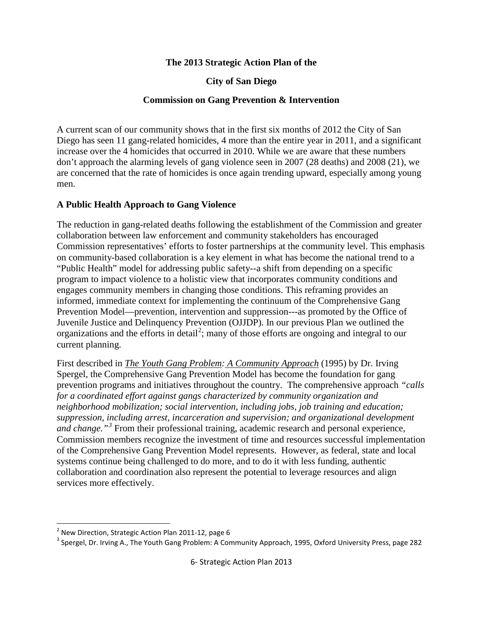#### **The 2013 Strategic Action Plan of the**

#### **City of San Diego**

#### **Commission on Gang Prevention & Intervention**

A current scan of our community shows that in the first six months of 2012 the City of San Diego has seen 11 gang-related homicides, 4 more than the entire year in 2011, and a significant increase over the 4 homicides that occurred in 2010. While we are aware that these numbers don't approach the alarming levels of gang violence seen in 2007 (28 deaths) and 2008 (21), we are concerned that the rate of homicides is once again trending upward, especially among young men.

#### **A Public Health Approach to Gang Violence**

The reduction in gang-related deaths following the establishment of the Commission and greater collaboration between law enforcement and community stakeholders has encouraged Commission representatives' efforts to foster partnerships at the community level. This emphasis on community-based collaboration is a key element in what has become the national trend to a "Public Health" model for addressing public safety--a shift from depending on a specific program to impact violence to a holistic view that incorporates community conditions and engages community members in changing those conditions. This reframing provides an informed, immediate context for implementing the continuum of the Comprehensive Gang Prevention Model—prevention, intervention and suppression---as promoted by the Office of Juvenile Justice and Delinquency Prevention (OJJDP). In our previous Plan we outlined the organizations and the efforts in detail<sup>[2](#page-2-0)</sup>; many of those efforts are ongoing and integral to our current planning.

First described in *The Youth Gang Problem: A Community Approach* (1995) by Dr. Irving Spergel, the Comprehensive Gang Prevention Model has become the foundation for gang prevention programs and initiatives throughout the country. The comprehensive approach *"calls for a coordinated effort against gangs characterized by community organization and neighborhood mobilization; social intervention, including jobs, job training and education; suppression, including arrest, incarceration and supervision; and organizational development and change."[3](#page-5-0)* From their professional training, academic research and personal experience, Commission members recognize the investment of time and resources successful implementation of the Comprehensive Gang Prevention Model represents. However, as federal, state and local systems continue being challenged to do more, and to do it with less funding, authentic collaboration and coordination also represent the potential to leverage resources and align services more effectively.

<span id="page-5-1"></span> $2$  New Direction, Strategic Action Plan 2011-12, page 6

<span id="page-5-0"></span><sup>&</sup>lt;sup>3</sup> Spergel, Dr. Irving A., The Youth Gang Problem: A Community Approach, 1995, Oxford University Press, page 282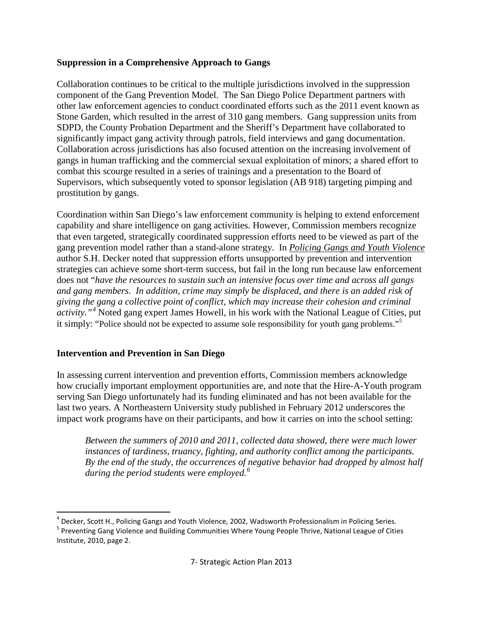# **Suppression in a Comprehensive Approach to Gangs**

Collaboration continues to be critical to the multiple jurisdictions involved in the suppression component of the Gang Prevention Model. The San Diego Police Department partners with other law enforcement agencies to conduct coordinated efforts such as the 2011 event known as Stone Garden, which resulted in the arrest of 310 gang members. Gang suppression units from SDPD, the County Probation Department and the Sheriff's Department have collaborated to significantly impact gang activity through patrols, field interviews and gang documentation. Collaboration across jurisdictions has also focused attention on the increasing involvement of gangs in human trafficking and the commercial sexual exploitation of minors; a shared effort to combat this scourge resulted in a series of trainings and a presentation to the Board of Supervisors, which subsequently voted to sponsor legislation (AB 918) targeting pimping and prostitution by gangs.

Coordination within San Diego's law enforcement community is helping to extend enforcement capability and share intelligence on gang activities. However, Commission members recognize that even targeted, strategically coordinated suppression efforts need to be viewed as part of the gang prevention model rather than a stand-alone strategy. In *Policing Gangs and Youth Violence* author S.H. Decker noted that suppression efforts unsupported by prevention and intervention strategies can achieve some short-term success, but fail in the long run because law enforcement does not "*have the resources to sustain such an intensive focus over time and across all gangs and gang members. In addition, crime may simply be displaced, and there is an added risk of giving the gang a collective point of conflict, which may increase their cohesion and criminal activity."[4](#page-5-1)* Noted gang expert James Howell, in his work with the National League of Cities, put it simply: "Police should not be expected to assume sole responsibility for youth gang problems."[5](#page-6-0)

# **Intervention and Prevention in San Diego**

In assessing current intervention and prevention efforts, Commission members acknowledge how crucially important employment opportunities are, and note that the Hire-A-Youth program serving San Diego unfortunately had its funding eliminated and has not been available for the last two years. A Northeastern University study published in February 2012 underscores the impact work programs have on their participants, and how it carries on into the school setting:

*Between the summers of 2010 and 2011, collected data showed, there were much lower instances of tardiness, truancy, fighting, and authority conflict among the participants. By the end of the study, the occurrences of negative behavior had dropped by almost half during the period students were employed. [6](#page-6-1)*

<span id="page-6-2"></span> $4$  Decker, Scott H., Policing Gangs and Youth Violence, 2002, Wadsworth Professionalism in Policing Series.

<span id="page-6-1"></span><span id="page-6-0"></span><sup>5</sup> Preventing Gang Violence and Building Communities Where Young People Thrive, National League of Cities Institute, 2010, page 2.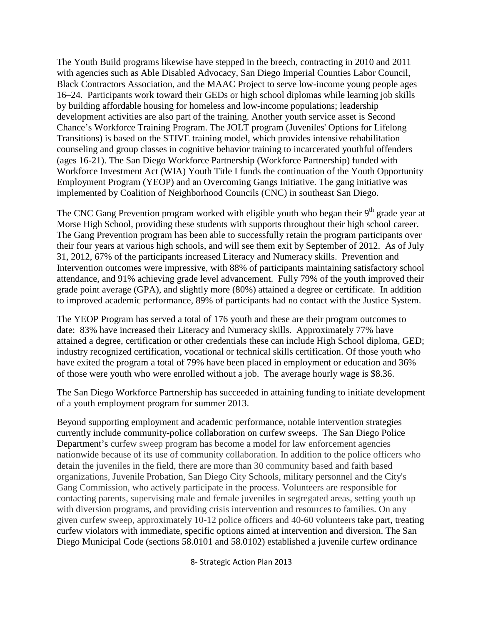The Youth Build programs likewise have stepped in the breech, contracting in 2010 and 2011 with agencies such as Able Disabled Advocacy, San Diego Imperial Counties Labor Council, Black Contractors Association, and the MAAC Project to serve low-income young people ages 16–24. Participants work toward their GEDs or high school diplomas while learning job skills by building affordable housing for homeless and low-income populations; leadership development activities are also part of the training. Another youth service asset is Second Chance's Workforce Training Program. The JOLT program (Juveniles' Options for Lifelong Transitions) is based on the STIVE training model, which provides intensive rehabilitation counseling and group classes in cognitive behavior training to incarcerated youthful offenders (ages 16-21). The San Diego Workforce Partnership (Workforce Partnership) funded with Workforce Investment Act (WIA) Youth Title I funds the continuation of the Youth Opportunity Employment Program (YEOP) and an Overcoming Gangs Initiative. The gang initiative was implemented by Coalition of Neighborhood Councils (CNC) in southeast San Diego.

The CNC Gang Prevention program worked with eligible youth who began their  $9<sup>th</sup>$  grade year at Morse High School, providing these students with supports throughout their high school career. The Gang Prevention program has been able to successfully retain the program participants over their four years at various high schools, and will see them exit by September of 2012. As of July 31, 2012, 67% of the participants increased Literacy and Numeracy skills. Prevention and Intervention outcomes were impressive, with 88% of participants maintaining satisfactory school attendance, and 91% achieving grade level advancement. Fully 79% of the youth improved their grade point average (GPA), and slightly more (80%) attained a degree or certificate. In addition to improved academic performance, 89% of participants had no contact with the Justice System.

The YEOP Program has served a total of 176 youth and these are their program outcomes to date: 83% have increased their Literacy and Numeracy skills. Approximately 77% have attained a degree, certification or other credentials these can include High School diploma, GED; industry recognized certification, vocational or technical skills certification. Of those youth who have exited the program a total of 79% have been placed in employment or education and 36% of those were youth who were enrolled without a job. The average hourly wage is \$8.36.

The San Diego Workforce Partnership has succeeded in attaining funding to initiate development of a youth employment program for summer 2013.

Beyond supporting employment and academic performance, notable intervention strategies currently include community-police collaboration on curfew sweeps. The San Diego Police Department's curfew sweep program has become a model for law enforcement agencies nationwide because of its use of community collaboration. In addition to the police officers who detain the juveniles in the field, there are more than 30 community based and faith based organizations, Juvenile Probation, San Diego City Schools, military personnel and the City's Gang Commission, who actively participate in the process. Volunteers are responsible for contacting parents, supervising male and female juveniles in segregated areas, setting youth up with diversion programs, and providing crisis intervention and resources to families. On any given curfew sweep, approximately 10-12 police officers and 40-60 volunteers take part, treating curfew violators with immediate, specific options aimed at intervention and diversion. The San Diego Municipal Code (sections 58.0101 and 58.0102) established a juvenile curfew ordinance

8- Strategic Action Plan 2013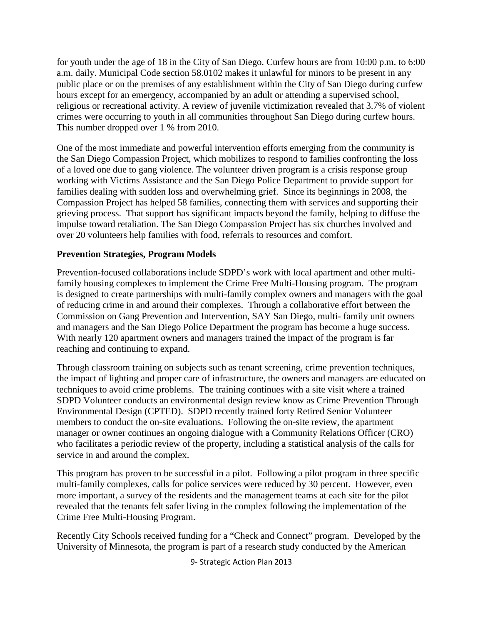for youth under the age of 18 in the City of San Diego. Curfew hours are from 10:00 p.m. to 6:00 a.m. daily. Municipal Code section 58.0102 makes it unlawful for minors to be present in any public place or on the premises of any establishment within the City of San Diego during curfew hours except for an emergency, accompanied by an adult or attending a supervised school, religious or recreational activity. A review of juvenile victimization revealed that 3.7% of violent crimes were occurring to youth in all communities throughout San Diego during curfew hours. This number dropped over 1 % from 2010.

One of the most immediate and powerful intervention efforts emerging from the community is the San Diego Compassion Project, which mobilizes to respond to families confronting the loss of a loved one due to gang violence. The volunteer driven program is a crisis response group working with Victims Assistance and the San Diego Police Department to provide support for families dealing with sudden loss and overwhelming grief. Since its beginnings in 2008, the Compassion Project has helped 58 families, connecting them with services and supporting their grieving process. That support has significant impacts beyond the family, helping to diffuse the impulse toward retaliation. The San Diego Compassion Project has six churches involved and over 20 volunteers help families with food, referrals to resources and comfort.

#### **Prevention Strategies, Program Models**

Prevention-focused collaborations include SDPD's work with local apartment and other multifamily housing complexes to implement the Crime Free Multi-Housing program. The program is designed to create partnerships with multi-family complex owners and managers with the goal of reducing crime in and around their complexes. Through a collaborative effort between the Commission on Gang Prevention and Intervention, SAY San Diego, multi- family unit owners and managers and the San Diego Police Department the program has become a huge success. With nearly 120 apartment owners and managers trained the impact of the program is far reaching and continuing to expand.

Through classroom training on subjects such as tenant screening, crime prevention techniques, the impact of lighting and proper care of infrastructure, the owners and managers are educated on techniques to avoid crime problems. The training continues with a site visit where a trained SDPD Volunteer conducts an environmental design review know as Crime Prevention Through Environmental Design (CPTED). SDPD recently trained forty Retired Senior Volunteer members to conduct the on-site evaluations. Following the on-site review, the apartment manager or owner continues an ongoing dialogue with a Community Relations Officer (CRO) who facilitates a periodic review of the property, including a statistical analysis of the calls for service in and around the complex.

This program has proven to be successful in a pilot. Following a pilot program in three specific multi-family complexes, calls for police services were reduced by 30 percent. However, even more important, a survey of the residents and the management teams at each site for the pilot revealed that the tenants felt safer living in the complex following the implementation of the Crime Free Multi-Housing Program.

Recently City Schools received funding for a "Check and Connect" program. Developed by the University of Minnesota, the program is part of a research study conducted by the American

9- Strategic Action Plan 2013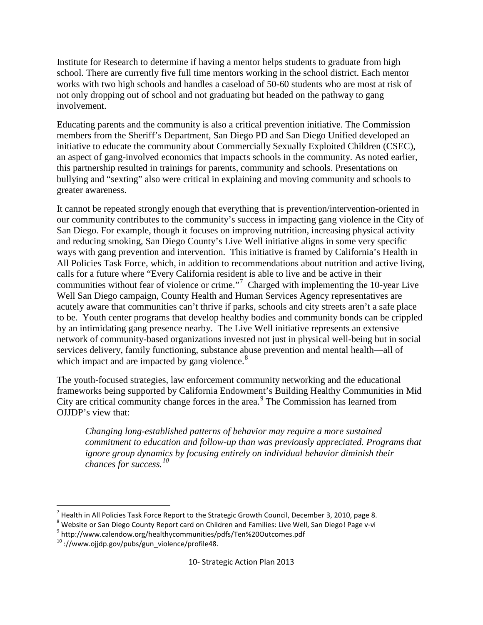Institute for Research to determine if having a mentor helps students to graduate from high school. There are currently five full time mentors working in the school district. Each mentor works with two high schools and handles a caseload of 50-60 students who are most at risk of not only dropping out of school and not graduating but headed on the pathway to gang involvement.

Educating parents and the community is also a critical prevention initiative. The Commission members from the Sheriff's Department, San Diego PD and San Diego Unified developed an initiative to educate the community about Commercially Sexually Exploited Children (CSEC), an aspect of gang-involved economics that impacts schools in the community. As noted earlier, this partnership resulted in trainings for parents, community and schools. Presentations on bullying and "sexting" also were critical in explaining and moving community and schools to greater awareness.

It cannot be repeated strongly enough that everything that is prevention/intervention-oriented in our community contributes to the community's success in impacting gang violence in the City of San Diego. For example, though it focuses on improving nutrition, increasing physical activity and reducing smoking, San Diego County's Live Well initiative aligns in some very specific ways with gang prevention and intervention. This initiative is framed by California's Health in All Policies Task Force, which, in addition to recommendations about nutrition and active living, calls for a future where "Every California resident is able to live and be active in their communities without fear of violence or crime."<sup>[7](#page-6-2)</sup> Charged with implementing the 10-year Live Well San Diego campaign, County Health and Human Services Agency representatives are acutely aware that communities can't thrive if parks, schools and city streets aren't a safe place to be. Youth center programs that develop healthy bodies and community bonds can be crippled by an intimidating gang presence nearby. The Live Well initiative represents an extensive network of community-based organizations invested not just in physical well-being but in social services delivery, family functioning, substance abuse prevention and mental health—all of which impact and are impacted by gang violence.<sup>[8](#page-9-0)</sup>

The youth-focused strategies, law enforcement community networking and the educational frameworks being supported by California Endowment's Building Healthy Communities in Mid City are critical community change forces in the area.<sup>[9](#page-9-1)</sup> The Commission has learned from OJJDP's view that:

*Changing long-established patterns of behavior may require a more sustained commitment to education and follow-up than was previously appreciated. Programs that ignore group dynamics by focusing entirely on individual behavior diminish their chances for success.[10](#page-9-2)*

 $^7$  Health in All Policies Task Force Report to the Strategic Growth Council, December 3, 2010, page 8.

<span id="page-9-3"></span><span id="page-9-0"></span><sup>&</sup>lt;sup>8</sup> Website or San Diego County Report card on Children and Families: Live Well, San Diego! Page v-vi

<span id="page-9-1"></span><sup>9</sup> http://www.calendow.org/healthycommunities/pdfs/Ten%20Outcomes.pdf

<span id="page-9-2"></span> $10$  ://www.ojjdp.gov/pubs/gun\_violence/profile48.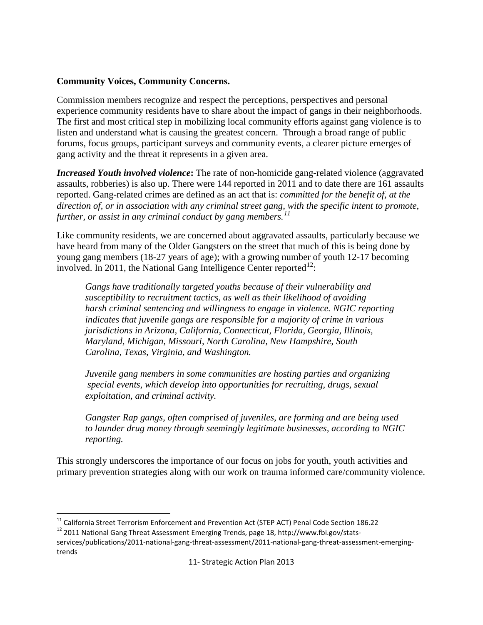#### **Community Voices, Community Concerns.**

Commission members recognize and respect the perceptions, perspectives and personal experience community residents have to share about the impact of gangs in their neighborhoods. The first and most critical step in mobilizing local community efforts against gang violence is to listen and understand what is causing the greatest concern. Through a broad range of public forums, focus groups, participant surveys and community events, a clearer picture emerges of gang activity and the threat it represents in a given area.

*Increased Youth involved violence***:** The rate of non-homicide gang-related violence (aggravated assaults, robberies) is also up. There were 144 reported in 2011 and to date there are 161 assaults reported. Gang-related crimes are defined as an act that is: *committed for the benefit of, at the direction of, or in association with any criminal street gang, with the specific intent to promote, further, or assist in any criminal conduct by gang members. [11](#page-9-3)*

Like community residents, we are concerned about aggravated assaults, particularly because we have heard from many of the Older Gangsters on the street that much of this is being done by young gang members (18-27 years of age); with a growing number of youth 12-17 becoming involved. In 2011, the National Gang Intelligence Center reported $^{12}$  $^{12}$  $^{12}$ :

*Gangs have traditionally targeted youths because of their vulnerability and susceptibility to recruitment tactics, as well as their likelihood of avoiding harsh criminal sentencing and willingness to engage in violence. NGIC reporting indicates that juvenile gangs are responsible for a majority of crime in various jurisdictions in Arizona, California, Connecticut, Florida, Georgia, Illinois, Maryland, Michigan, Missouri, North Carolina, New Hampshire, South Carolina, Texas, Virginia, and Washington.*

*Juvenile gang members in some communities are hosting parties and organizing special events, which develop into opportunities for recruiting, drugs, sexual exploitation, and criminal activity.*

*Gangster Rap gangs, often comprised of juveniles, are forming and are being used to launder drug money through seemingly legitimate businesses, according to NGIC reporting.*

This strongly underscores the importance of our focus on jobs for youth, youth activities and primary prevention strategies along with our work on trauma informed care/community violence.

<sup>&</sup>lt;sup>11</sup> California Street Terrorism Enforcement and Prevention Act (STEP ACT) Penal Code Section 186.22

<span id="page-10-0"></span><sup>&</sup>lt;sup>12</sup> 2011 National Gang Threat Assessment Emerging Trends, page 18, http://www.fbi.gov/statsservices/publications/2011-national-gang-threat-assessment/2011-national-gang-threat-assessment-emergingtrends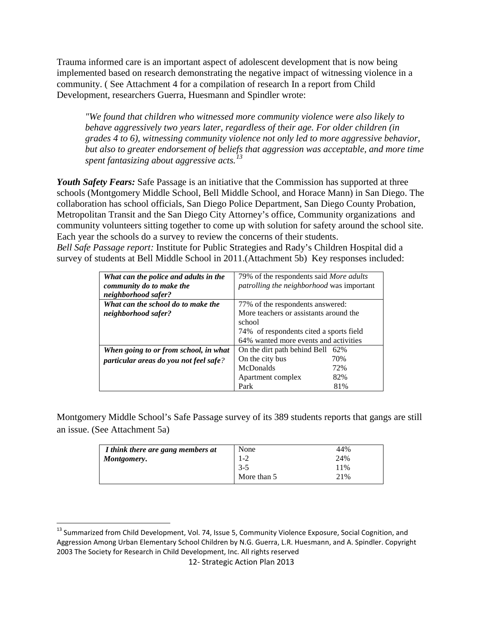Trauma informed care is an important aspect of adolescent development that is now being implemented based on research demonstrating the negative impact of witnessing violence in a community. ( See Attachment 4 for a compilation of research In a report from Child Development, researchers Guerra, Huesmann and Spindler wrote:

*"We found that children who witnessed more community violence were also likely to behave aggressively two years later, regardless of their age. For older children (in grades 4 to 6), witnessing community violence not only led to more aggressive behavior, but also to greater endorsement of beliefs that aggression was acceptable, and more time spent fantasizing about aggressive acts.[13](#page-10-0)*

*Youth Safety Fears:* Safe Passage is an initiative that the Commission has supported at three schools (Montgomery Middle School, Bell Middle School, and Horace Mann) in San Diego. The collaboration has school officials, San Diego Police Department, San Diego County Probation, Metropolitan Transit and the San Diego City Attorney's office, Community organizations and community volunteers sitting together to come up with solution for safety around the school site. Each year the schools do a survey to review the concerns of their students. *Bell Safe Passage report:* Institute for Public Strategies and Rady's Children Hospital did a

survey of students at Bell Middle School in 2011.(Attachment 5b) Key responses included:

| What can the police and adults in the  | 79% of the respondents said <i>More adults</i> |  |
|----------------------------------------|------------------------------------------------|--|
| community do to make the               | patrolling the neighborhood was important      |  |
| neighborhood safer?                    |                                                |  |
| What can the school do to make the     | 77% of the respondents answered:               |  |
| neighborhood safer?                    | More teachers or assistants around the         |  |
|                                        | school                                         |  |
|                                        | 74% of respondents cited a sports field        |  |
|                                        | 64% wanted more events and activities          |  |
| When going to or from school, in what  | On the dirt path behind Bell<br>62%            |  |
| particular areas do you not feel safe? | On the city bus<br>70%                         |  |
|                                        | <b>McDonalds</b><br>72%                        |  |
|                                        | Apartment complex<br>82%                       |  |
|                                        | Park<br>81%                                    |  |

Montgomery Middle School's Safe Passage survey of its 389 students reports that gangs are still an issue. (See Attachment 5a)

| I think there are gang members at | None        | 44% |
|-----------------------------------|-------------|-----|
| Montgomery.                       | 1-2         | 24% |
|                                   | $3-5$       | 11% |
|                                   | More than 5 | 21% |

<span id="page-11-0"></span> $13$  Summarized from Child Development, Vol. 74, Issue 5, Community Violence Exposure, Social Cognition, and Aggression Among Urban Elementary School Children by N.G. Guerra, L.R. Huesmann, and A. Spindler. Copyright 2003 The Society for Research in Child Development, Inc. All rights reserved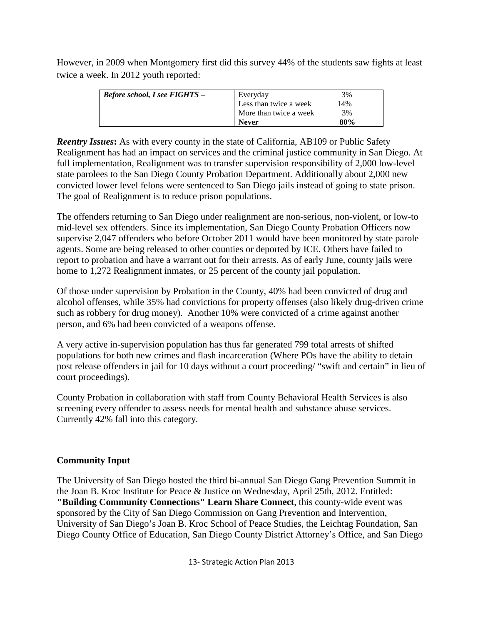However, in 2009 when Montgomery first did this survey 44% of the students saw fights at least twice a week. In 2012 youth reported:

| <b>Before school, I see FIGHTS -</b> | Everyday               | 3%  |
|--------------------------------------|------------------------|-----|
|                                      | Less than twice a week | 14% |
|                                      | More than twice a week | 3%  |
|                                      | <b>Never</b>           | 80% |

*Reentry Issues***:** As with every county in the state of California, AB109 or Public Safety Realignment has had an impact on services and the criminal justice community in San Diego. At full implementation, Realignment was to transfer supervision responsibility of 2,000 low-level state parolees to the San Diego County Probation Department. Additionally about 2,000 new convicted lower level felons were sentenced to San Diego jails instead of going to state prison. The goal of Realignment is to reduce prison populations.

The offenders returning to San Diego under realignment are non-serious, non-violent, or low-to mid-level sex offenders. Since its implementation, San Diego County Probation Officers now supervise 2,047 offenders who before October 2011 would have been monitored by state parole agents. Some are being released to other counties or deported by ICE. Others have failed to report to probation and have a warrant out for their arrests. As of early June, county jails were home to 1,272 Realignment inmates, or 25 percent of the county jail population.

Of those under supervision by Probation in the County, 40% had been convicted of drug and alcohol offenses, while 35% had convictions for property offenses (also likely drug-driven crime such as robbery for drug money). Another 10% were convicted of a crime against another person, and 6% had been convicted of a weapons offense.

A very active in-supervision population has thus far generated 799 total arrests of shifted populations for both new crimes and flash incarceration (Where POs have the ability to detain post release offenders in jail for 10 days without a court proceeding/ "swift and certain" in lieu of court proceedings).

County Probation in collaboration with staff from County Behavioral Health Services is also screening every offender to assess needs for mental health and substance abuse services. Currently 42% fall into this category.

# **Community Input**

The University of San Diego hosted the third bi-annual San Diego Gang Prevention Summit in the Joan B. Kroc Institute for Peace & Justice on Wednesday, April 25th, 2012. Entitled: **"Building Community Connections" Learn Share Connect**, this county-wide event was sponsored by the City of San Diego Commission on Gang Prevention and Intervention, University of San Diego's Joan B. Kroc School of Peace Studies, the Leichtag Foundation, San Diego County Office of Education, San Diego County District Attorney's Office, and San Diego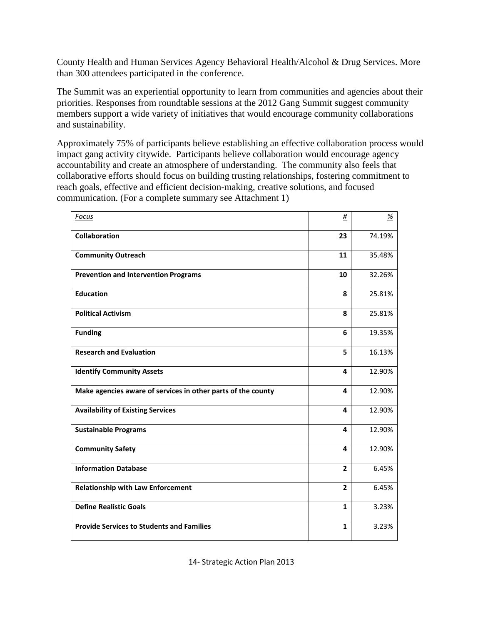County Health and Human Services Agency Behavioral Health/Alcohol & Drug Services. More than 300 attendees participated in the conference.

The Summit was an experiential opportunity to learn from communities and agencies about their priorities. Responses from roundtable sessions at the 2012 Gang Summit suggest community members support a wide variety of initiatives that would encourage community collaborations and sustainability.

Approximately 75% of participants believe establishing an effective collaboration process would impact gang activity citywide. Participants believe collaboration would encourage agency accountability and create an atmosphere of understanding. The community also feels that collaborative efforts should focus on building trusting relationships, fostering commitment to reach goals, effective and efficient decision-making, creative solutions, and focused communication. (For a complete summary see Attachment 1)

| Focus                                                        | $\frac{\#}{4}$ | $\frac{\%}{\%}$ |
|--------------------------------------------------------------|----------------|-----------------|
| <b>Collaboration</b>                                         | 23             | 74.19%          |
| <b>Community Outreach</b>                                    | 11             | 35.48%          |
| <b>Prevention and Intervention Programs</b>                  | 10             | 32.26%          |
| <b>Education</b>                                             | 8              | 25.81%          |
| <b>Political Activism</b>                                    | 8              | 25.81%          |
| <b>Funding</b>                                               | 6              | 19.35%          |
| <b>Research and Evaluation</b>                               | 5              | 16.13%          |
| <b>Identify Community Assets</b>                             | 4              | 12.90%          |
| Make agencies aware of services in other parts of the county | 4              | 12.90%          |
| <b>Availability of Existing Services</b>                     | 4              | 12.90%          |
| <b>Sustainable Programs</b>                                  | 4              | 12.90%          |
| <b>Community Safety</b>                                      | 4              | 12.90%          |
| <b>Information Database</b>                                  | $\overline{2}$ | 6.45%           |
| <b>Relationship with Law Enforcement</b>                     | $\overline{2}$ | 6.45%           |
| <b>Define Realistic Goals</b>                                | $\mathbf{1}$   | 3.23%           |
| <b>Provide Services to Students and Families</b>             | $\mathbf{1}$   | 3.23%           |

14- Strategic Action Plan 2013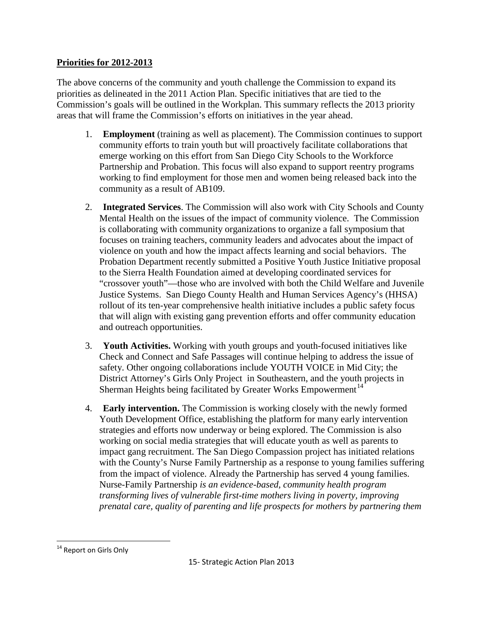# **Priorities for 2012-2013**

The above concerns of the community and youth challenge the Commission to expand its priorities as delineated in the 2011 Action Plan. Specific initiatives that are tied to the Commission's goals will be outlined in the Workplan. This summary reflects the 2013 priority areas that will frame the Commission's efforts on initiatives in the year ahead.

- 1. **Employment** (training as well as placement). The Commission continues to support community efforts to train youth but will proactively facilitate collaborations that emerge working on this effort from San Diego City Schools to the Workforce Partnership and Probation. This focus will also expand to support reentry programs working to find employment for those men and women being released back into the community as a result of AB109.
- 2. **Integrated Services**. The Commission will also work with City Schools and County Mental Health on the issues of the impact of community violence.The Commission is collaborating with community organizations to organize a fall symposium that focuses on training teachers, community leaders and advocates about the impact of violence on youth and how the impact affects learning and social behaviors. The Probation Department recently submitted a Positive Youth Justice Initiative proposal to the Sierra Health Foundation aimed at developing coordinated services for "crossover youth"—those who are involved with both the Child Welfare and Juvenile Justice Systems. San Diego County Health and Human Services Agency's (HHSA) rollout of its ten-year comprehensive health initiative includes a public safety focus that will align with existing gang prevention efforts and offer community education and outreach opportunities.
- 3. **Youth Activities.** Working with youth groups and youth-focused initiatives like Check and Connect and Safe Passages will continue helping to address the issue of safety. Other ongoing collaborations include YOUTH VOICE in Mid City; the District Attorney's Girls Only Project in Southeastern, and the youth projects in Sherman Heights being facilitated by Greater Works Empowerment<sup>[14](#page-11-0)</sup>
- 4. **Early intervention.** The Commission is working closely with the newly formed Youth Development Office, establishing the platform for many early intervention strategies and efforts now underway or being explored. The Commission is also working on social media strategies that will educate youth as well as parents to impact gang recruitment. The San Diego Compassion project has initiated relations with the County's Nurse Family Partnership as a response to young families suffering from the impact of violence. Already the Partnership has served 4 young families. Nurse-Family Partnership *is an evidence-based, community health program transforming lives of vulnerable first-time mothers living in poverty, improving prenatal care, quality of parenting and life prospects for mothers by partnering them*

<span id="page-14-0"></span><sup>&</sup>lt;sup>14</sup> Report on Girls Only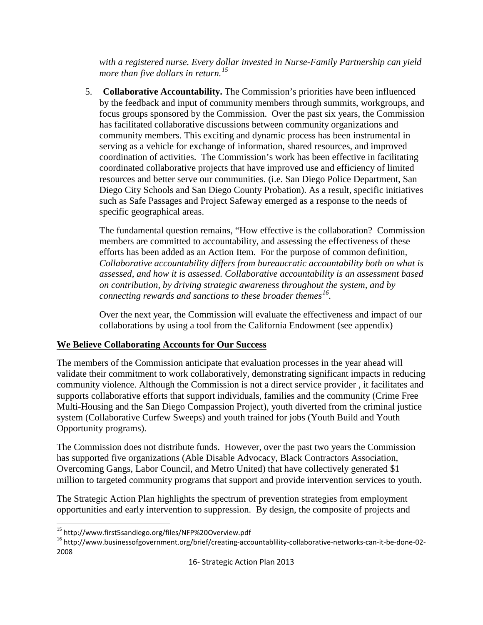*with a registered nurse. Every dollar invested in Nurse-Family Partnership can yield more than five dollars in return.[15](#page-14-0)*

5. **Collaborative Accountability.** The Commission's priorities have been influenced by the feedback and input of community members through summits, workgroups, and focus groups sponsored by the Commission. Over the past six years, the Commission has facilitated collaborative discussions between community organizations and community members. This exciting and dynamic process has been instrumental in serving as a vehicle for exchange of information, shared resources, and improved coordination of activities. The Commission's work has been effective in facilitating coordinated collaborative projects that have improved use and efficiency of limited resources and better serve our communities. (i.e. San Diego Police Department, San Diego City Schools and San Diego County Probation). As a result, specific initiatives such as Safe Passages and Project Safeway emerged as a response to the needs of specific geographical areas.

The fundamental question remains, "How effective is the collaboration? Commission members are committed to accountability, and assessing the effectiveness of these efforts has been added as an Action Item. For the purpose of common definition*, Collaborative accountability differs from bureaucratic accountability both on what is assessed, and how it is assessed. Collaborative accountability is an assessment based on contribution, by driving strategic awareness throughout the system, and by connecting rewards and sanctions to these broader themes[16](#page-15-0).*

Over the next year, the Commission will evaluate the effectiveness and impact of our collaborations by using a tool from the California Endowment (see appendix)

# **We Believe Collaborating Accounts for Our Success**

The members of the Commission anticipate that evaluation processes in the year ahead will validate their commitment to work collaboratively, demonstrating significant impacts in reducing community violence. Although the Commission is not a direct service provider , it facilitates and supports collaborative efforts that support individuals, families and the community (Crime Free Multi-Housing and the San Diego Compassion Project), youth diverted from the criminal justice system (Collaborative Curfew Sweeps) and youth trained for jobs (Youth Build and Youth Opportunity programs).

The Commission does not distribute funds. However, over the past two years the Commission has supported five organizations (Able Disable Advocacy, Black Contractors Association, Overcoming Gangs, Labor Council, and Metro United) that have collectively generated \$1 million to targeted community programs that support and provide intervention services to youth.

The Strategic Action Plan highlights the spectrum of prevention strategies from employment opportunities and early intervention to suppression. By design, the composite of projects and

 <sup>15</sup> http://www.first5sandiego.org/files/NFP%20Overview.pdf

<span id="page-15-1"></span><span id="page-15-0"></span><sup>16</sup> http://www.businessofgovernment.org/brief/creating-accountablility-collaborative-networks-can-it-be-done-02- 2008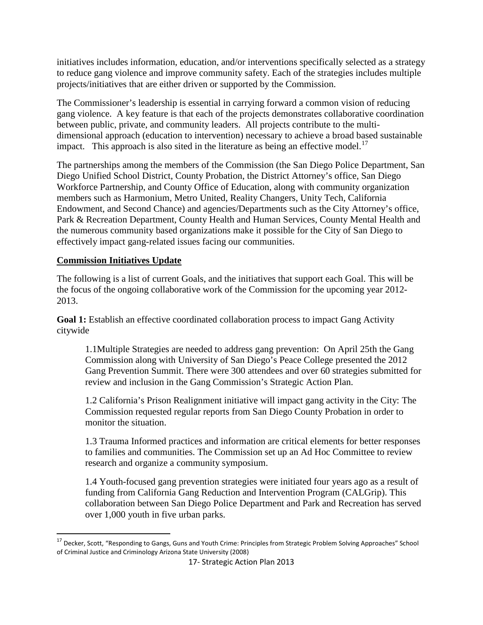initiatives includes information, education, and/or interventions specifically selected as a strategy to reduce gang violence and improve community safety. Each of the strategies includes multiple projects/initiatives that are either driven or supported by the Commission.

The Commissioner's leadership is essential in carrying forward a common vision of reducing gang violence. A key feature is that each of the projects demonstrates collaborative coordination between public, private, and community leaders. All projects contribute to the multidimensional approach (education to intervention) necessary to achieve a broad based sustainable impact. This approach is also sited in the literature as being an effective model.<sup>[17](#page-15-1)</sup>

The partnerships among the members of the Commission (the San Diego Police Department, San Diego Unified School District, County Probation, the District Attorney's office, San Diego Workforce Partnership, and County Office of Education, along with community organization members such as Harmonium, Metro United, Reality Changers, Unity Tech, California Endowment, and Second Chance) and agencies/Departments such as the City Attorney's office, Park & Recreation Department, County Health and Human Services, County Mental Health and the numerous community based organizations make it possible for the City of San Diego to effectively impact gang-related issues facing our communities.

## **Commission Initiatives Update**

The following is a list of current Goals, and the initiatives that support each Goal. This will be the focus of the ongoing collaborative work of the Commission for the upcoming year 2012- 2013.

**Goal 1:** Establish an effective coordinated collaboration process to impact Gang Activity citywide

1.1Multiple Strategies are needed to address gang prevention: On April 25th the Gang Commission along with University of San Diego's Peace College presented the 2012 Gang Prevention Summit. There were 300 attendees and over 60 strategies submitted for review and inclusion in the Gang Commission's Strategic Action Plan.

1.2 California's Prison Realignment initiative will impact gang activity in the City: The Commission requested regular reports from San Diego County Probation in order to monitor the situation.

1.3 Trauma Informed practices and information are critical elements for better responses to families and communities. The Commission set up an Ad Hoc Committee to review research and organize a community symposium.

1.4 Youth-focused gang prevention strategies were initiated four years ago as a result of funding from California Gang Reduction and Intervention Program (CALGrip). This collaboration between San Diego Police Department and Park and Recreation has served over 1,000 youth in five urban parks.

 <sup>17</sup> Decker, Scott, "Responding to Gangs, Guns and Youth Crime: Principles from Strategic Problem Solving Approaches" School of Criminal Justice and Criminology Arizona State University (2008)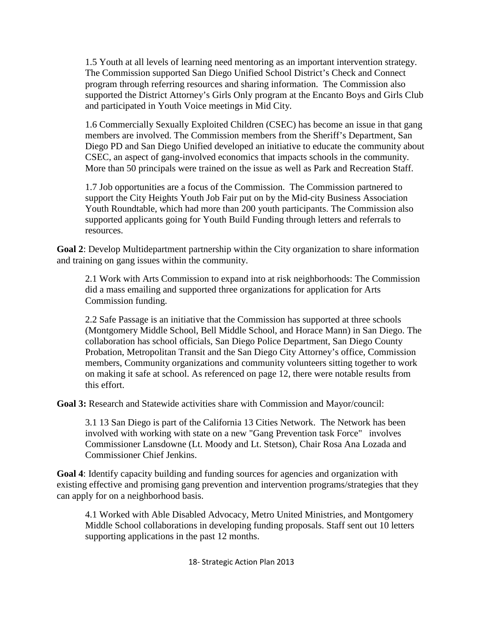1.5 Youth at all levels of learning need mentoring as an important intervention strategy. The Commission supported San Diego Unified School District's Check and Connect program through referring resources and sharing information. The Commission also supported the District Attorney's Girls Only program at the Encanto Boys and Girls Club and participated in Youth Voice meetings in Mid City.

1.6 Commercially Sexually Exploited Children (CSEC) has become an issue in that gang members are involved. The Commission members from the Sheriff's Department, San Diego PD and San Diego Unified developed an initiative to educate the community about CSEC, an aspect of gang-involved economics that impacts schools in the community. More than 50 principals were trained on the issue as well as Park and Recreation Staff.

1.7 Job opportunities are a focus of the Commission. The Commission partnered to support the City Heights Youth Job Fair put on by the Mid-city Business Association Youth Roundtable, which had more than 200 youth participants. The Commission also supported applicants going for Youth Build Funding through letters and referrals to resources.

**Goal 2**: Develop Multidepartment partnership within the City organization to share information and training on gang issues within the community.

2.1 Work with Arts Commission to expand into at risk neighborhoods: The Commission did a mass emailing and supported three organizations for application for Arts Commission funding.

2.2 Safe Passage is an initiative that the Commission has supported at three schools (Montgomery Middle School, Bell Middle School, and Horace Mann) in San Diego. The collaboration has school officials, San Diego Police Department, San Diego County Probation, Metropolitan Transit and the San Diego City Attorney's office, Commission members, Community organizations and community volunteers sitting together to work on making it safe at school. As referenced on page 12, there were notable results from this effort.

**Goal 3:** Research and Statewide activities share with Commission and Mayor/council:

3.1 13 San Diego is part of the California 13 Cities Network. The Network has been involved with working with state on a new "Gang Prevention task Force" involves Commissioner Lansdowne (Lt. Moody and Lt. Stetson), Chair Rosa Ana Lozada and Commissioner Chief Jenkins.

**Goal 4**: Identify capacity building and funding sources for agencies and organization with existing effective and promising gang prevention and intervention programs/strategies that they can apply for on a neighborhood basis.

4.1 Worked with Able Disabled Advocacy, Metro United Ministries, and Montgomery Middle School collaborations in developing funding proposals. Staff sent out 10 letters supporting applications in the past 12 months.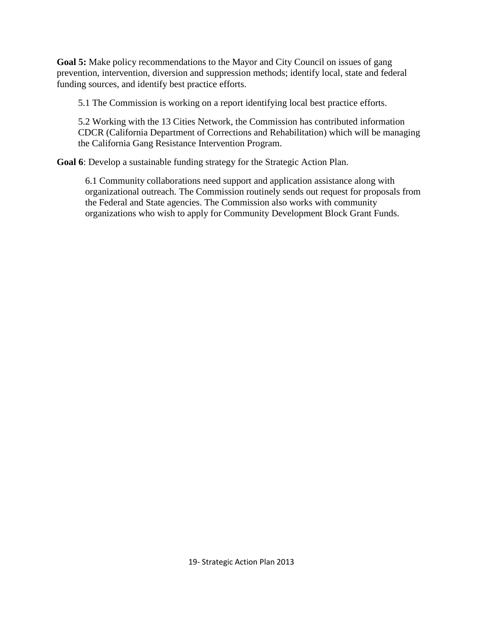**Goal 5:** Make policy recommendations to the Mayor and City Council on issues of gang prevention, intervention, diversion and suppression methods; identify local, state and federal funding sources, and identify best practice efforts.

5.1 The Commission is working on a report identifying local best practice efforts.

5.2 Working with the 13 Cities Network, the Commission has contributed information CDCR (California Department of Corrections and Rehabilitation) which will be managing the California Gang Resistance Intervention Program.

**Goal 6**: Develop a sustainable funding strategy for the Strategic Action Plan.

6.1 Community collaborations need support and application assistance along with organizational outreach. The Commission routinely sends out request for proposals from the Federal and State agencies. The Commission also works with community organizations who wish to apply for Community Development Block Grant Funds.